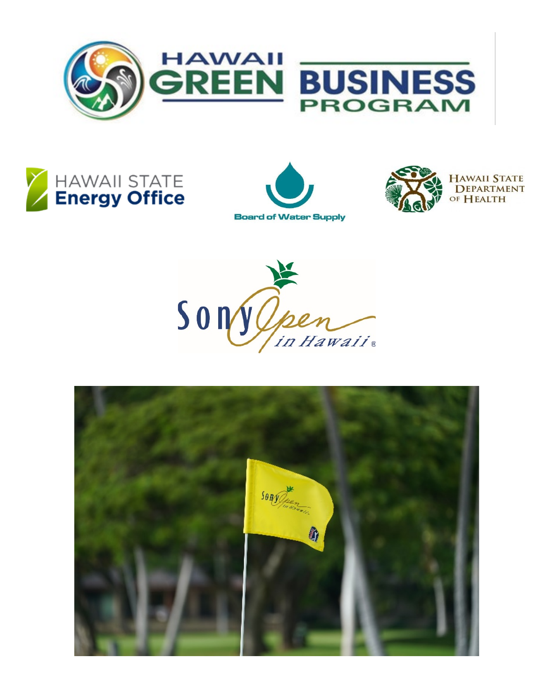







**HAWAII STATE DEPARTMENT** OF HEALTH